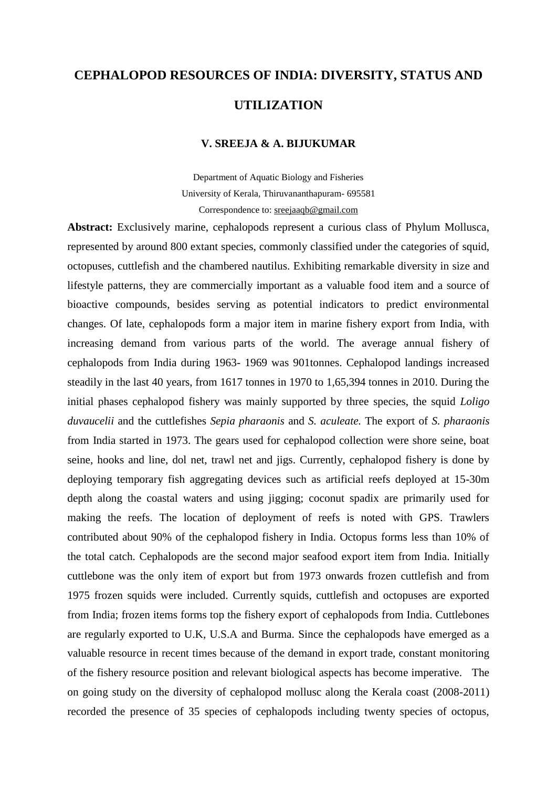## **CEPHALOPOD RESOURCES OF INDIA: DIVERSITY, STATUS AND UTILIZATION**

## **V. SREEJA & A. BIJUKUMAR**

Department of Aquatic Biology and Fisheries University of Kerala, Thiruvananthapuram- 695581 Correspondence to: sreejaaqb@gmail.com

**Abstract:** Exclusively marine, cephalopods represent a curious class of Phylum Mollusca, represented by around 800 extant species, commonly classified under the categories of squid, octopuses, cuttlefish and the chambered nautilus. Exhibiting remarkable diversity in size and lifestyle patterns, they are commercially important as a valuable food item and a source of bioactive compounds, besides serving as potential indicators to predict environmental changes. Of late, cephalopods form a major item in marine fishery export from India, with increasing demand from various parts of the world. The average annual fishery of cephalopods from India during 1963- 1969 was 901tonnes. Cephalopod landings increased steadily in the last 40 years, from 1617 tonnes in 1970 to 1,65,394 tonnes in 2010. During the initial phases cephalopod fishery was mainly supported by three species, the squid *Loligo duvaucelii* and the cuttlefishes *Sepia pharaonis* and *S. aculeate.* The export of *S. pharaonis* from India started in 1973. The gears used for cephalopod collection were shore seine, boat seine, hooks and line, dol net, trawl net and jigs. Currently, cephalopod fishery is done by deploying temporary fish aggregating devices such as artificial reefs deployed at 15-30m depth along the coastal waters and using jigging; coconut spadix are primarily used for making the reefs. The location of deployment of reefs is noted with GPS. Trawlers contributed about 90% of the cephalopod fishery in India. Octopus forms less than 10% of the total catch. Cephalopods are the second major seafood export item from India. Initially cuttlebone was the only item of export but from 1973 onwards frozen cuttlefish and from 1975 frozen squids were included. Currently squids, cuttlefish and octopuses are exported from India; frozen items forms top the fishery export of cephalopods from India. Cuttlebones are regularly exported to U.K, U.S.A and Burma. Since the cephalopods have emerged as a valuable resource in recent times because of the demand in export trade, constant monitoring of the fishery resource position and relevant biological aspects has become imperative. The on going study on the diversity of cephalopod mollusc along the Kerala coast (2008-2011) recorded the presence of 35 species of cephalopods including twenty species of octopus,